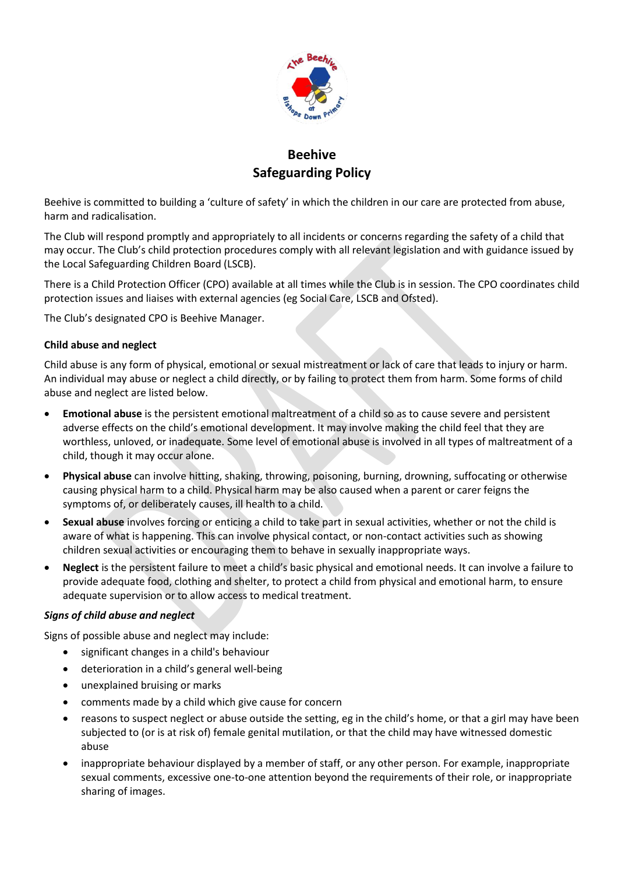

# **Beehive Safeguarding Policy**

Beehive is committed to building a 'culture of safety' in which the children in our care are protected from abuse, harm and radicalisation.

The Club will respond promptly and appropriately to all incidents or concerns regarding the safety of a child that may occur. The Club's child protection procedures comply with all relevant legislation and with guidance issued by the Local Safeguarding Children Board (LSCB).

There is a Child Protection Officer (CPO) available at all times while the Club is in session. The CPO coordinates child protection issues and liaises with external agencies (eg Social Care, LSCB and Ofsted).

The Club's designated CPO is Beehive Manager.

# **Child abuse and neglect**

Child abuse is any form of physical, emotional or sexual mistreatment or lack of care that leads to injury or harm. An individual may abuse or neglect a child directly, or by failing to protect them from harm. Some forms of child abuse and neglect are listed below.

- **Emotional abuse** is the persistent emotional maltreatment of a child so as to cause severe and persistent adverse effects on the child's emotional development. It may involve making the child feel that they are worthless, unloved, or inadequate. Some level of emotional abuse is involved in all types of maltreatment of a child, though it may occur alone.
- **Physical abuse** can involve hitting, shaking, throwing, poisoning, burning, drowning, suffocating or otherwise causing physical harm to a child. Physical harm may be also caused when a parent or carer feigns the symptoms of, or deliberately causes, ill health to a child.
- **Sexual abuse** involves forcing or enticing a child to take part in sexual activities, whether or not the child is aware of what is happening. This can involve physical contact, or non-contact activities such as showing children sexual activities or encouraging them to behave in sexually inappropriate ways.
- **Neglect** is the persistent failure to meet a child's basic physical and emotional needs. It can involve a failure to provide adequate food, clothing and shelter, to protect a child from physical and emotional harm, to ensure adequate supervision or to allow access to medical treatment.

# *Signs of child abuse and neglect*

Signs of possible abuse and neglect may include:

- significant changes in a child's behaviour
- deterioration in a child's general well-being
- unexplained bruising or marks
- comments made by a child which give cause for concern
- reasons to suspect neglect or abuse outside the setting, eg in the child's home, or that a girl may have been subjected to (or is at risk of) female genital mutilation, or that the child may have witnessed domestic abuse
- inappropriate behaviour displayed by a member of staff, or any other person. For example, inappropriate sexual comments, excessive one-to-one attention beyond the requirements of their role, or inappropriate sharing of images.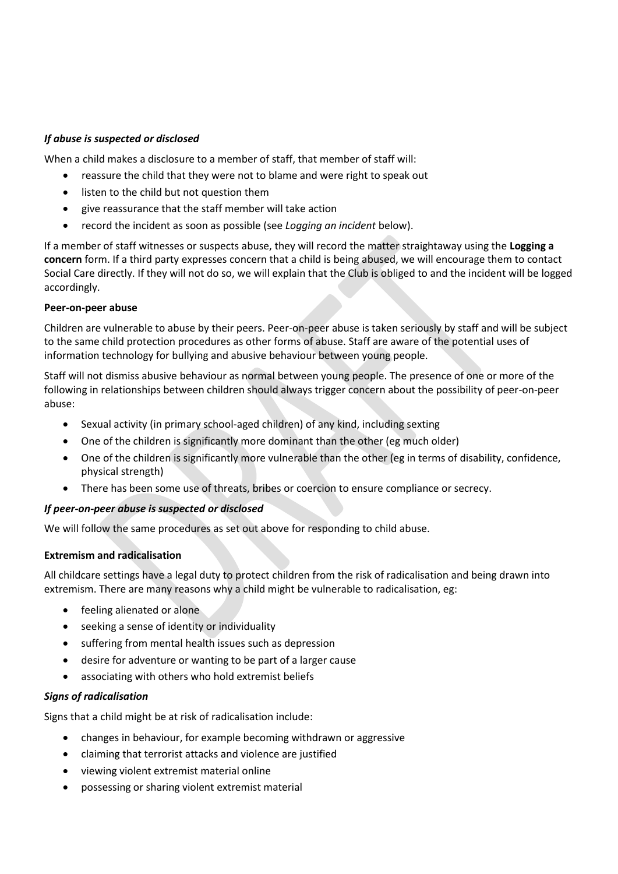## *If abuse is suspected or disclosed*

When a child makes a disclosure to a member of staff, that member of staff will:

- reassure the child that they were not to blame and were right to speak out
- listen to the child but not question them
- give reassurance that the staff member will take action
- record the incident as soon as possible (see *Logging an incident* below).

If a member of staff witnesses or suspects abuse, they will record the matter straightaway using the **Logging a concern** form. If a third party expresses concern that a child is being abused, we will encourage them to contact Social Care directly. If they will not do so, we will explain that the Club is obliged to and the incident will be logged accordingly.

## **Peer-on-peer abuse**

Children are vulnerable to abuse by their peers. Peer-on-peer abuse is taken seriously by staff and will be subject to the same child protection procedures as other forms of abuse. Staff are aware of the potential uses of information technology for bullying and abusive behaviour between young people.

Staff will not dismiss abusive behaviour as normal between young people. The presence of one or more of the following in relationships between children should always trigger concern about the possibility of peer-on-peer abuse:

- Sexual activity (in primary school-aged children) of any kind, including sexting
- One of the children is significantly more dominant than the other (eg much older)
- One of the children is significantly more vulnerable than the other (eg in terms of disability, confidence, physical strength)
- There has been some use of threats, bribes or coercion to ensure compliance or secrecy.

## *If peer-on-peer abuse is suspected or disclosed*

We will follow the same procedures as set out above for responding to child abuse.

## **Extremism and radicalisation**

All childcare settings have a legal duty to protect children from the risk of radicalisation and being drawn into extremism. There are many reasons why a child might be vulnerable to radicalisation, eg:

- feeling alienated or alone
- seeking a sense of identity or individuality
- suffering from mental health issues such as depression
- desire for adventure or wanting to be part of a larger cause
- associating with others who hold extremist beliefs

## *Signs of radicalisation*

Signs that a child might be at risk of radicalisation include:

- changes in behaviour, for example becoming withdrawn or aggressive
- claiming that terrorist attacks and violence are justified
- viewing violent extremist material online
- possessing or sharing violent extremist material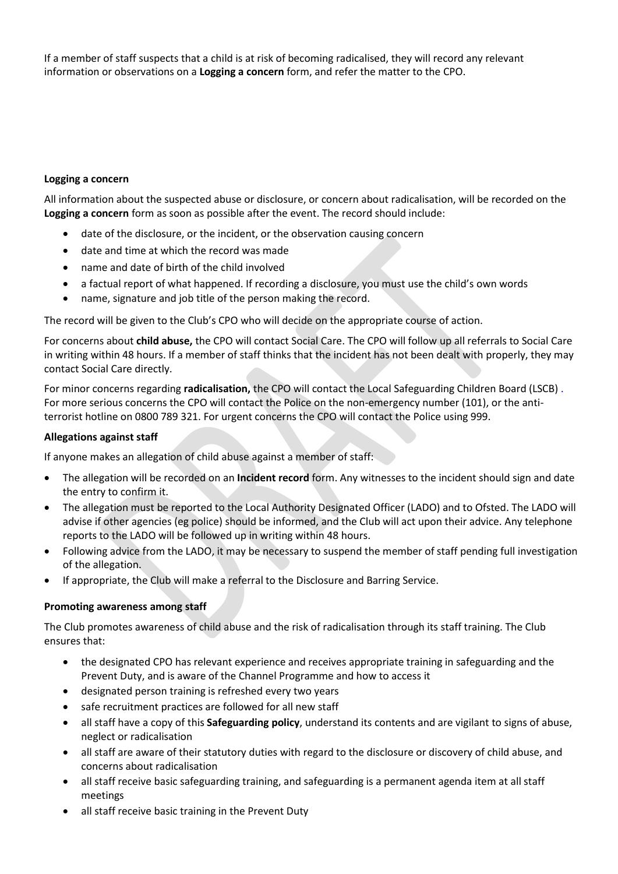If a member of staff suspects that a child is at risk of becoming radicalised, they will record any relevant information or observations on a **Logging a concern** form, and refer the matter to the CPO.

#### **Logging a concern**

All information about the suspected abuse or disclosure, or concern about radicalisation, will be recorded on the **Logging a concern** form as soon as possible after the event. The record should include:

- date of the disclosure, or the incident, or the observation causing concern
- date and time at which the record was made
- name and date of birth of the child involved
- a factual report of what happened. If recording a disclosure, you must use the child's own words
- name, signature and job title of the person making the record.

The record will be given to the Club's CPO who will decide on the appropriate course of action.

For concerns about **child abuse,** the CPO will contact Social Care. The CPO will follow up all referrals to Social Care in writing within 48 hours. If a member of staff thinks that the incident has not been dealt with properly, they may contact Social Care directly.

For minor concerns regarding **radicalisation,** the CPO will contact the Local Safeguarding Children Board (LSCB) . For more serious concerns the CPO will contact the Police on the non-emergency number (101), or the antiterrorist hotline on 0800 789 321. For urgent concerns the CPO will contact the Police using 999.

#### **Allegations against staff**

If anyone makes an allegation of child abuse against a member of staff:

- The allegation will be recorded on an **Incident record** form. Any witnesses to the incident should sign and date the entry to confirm it.
- The allegation must be reported to the Local Authority Designated Officer (LADO) and to Ofsted. The LADO will advise if other agencies (eg police) should be informed, and the Club will act upon their advice. Any telephone reports to the LADO will be followed up in writing within 48 hours.
- Following advice from the LADO, it may be necessary to suspend the member of staff pending full investigation of the allegation.
- If appropriate, the Club will make a referral to the Disclosure and Barring Service.

## **Promoting awareness among staff**

The Club promotes awareness of child abuse and the risk of radicalisation through its staff training. The Club ensures that:

- the designated CPO has relevant experience and receives appropriate training in safeguarding and the Prevent Duty, and is aware of the Channel Programme and how to access it
- designated person training is refreshed every two years
- safe recruitment practices are followed for all new staff
- all staff have a copy of this **Safeguarding policy**, understand its contents and are vigilant to signs of abuse, neglect or radicalisation
- all staff are aware of their statutory duties with regard to the disclosure or discovery of child abuse, and concerns about radicalisation
- all staff receive basic safeguarding training, and safeguarding is a permanent agenda item at all staff meetings
- all staff receive basic training in the Prevent Duty